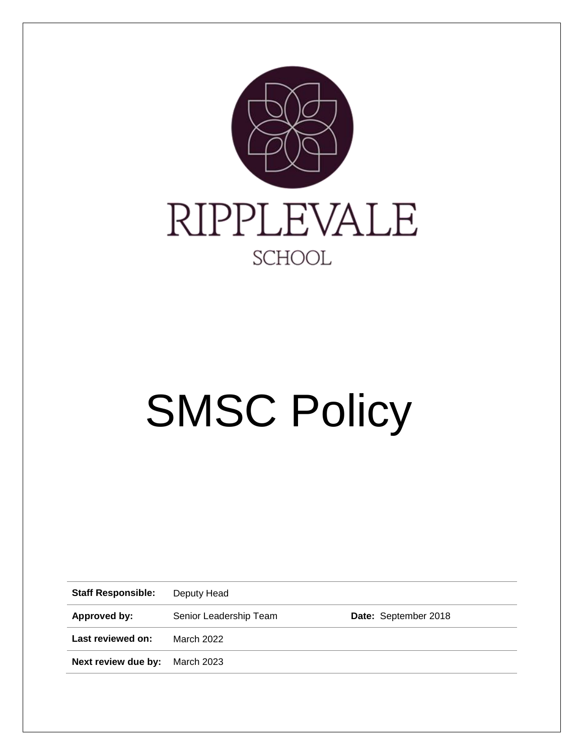

# SMSC Policy

**Staff Responsible:** Deputy Head

**Approved by:** Senior Leadership Team **Date:** September 2018

**Last reviewed on:** March 2022

**Next review due by:** March 2023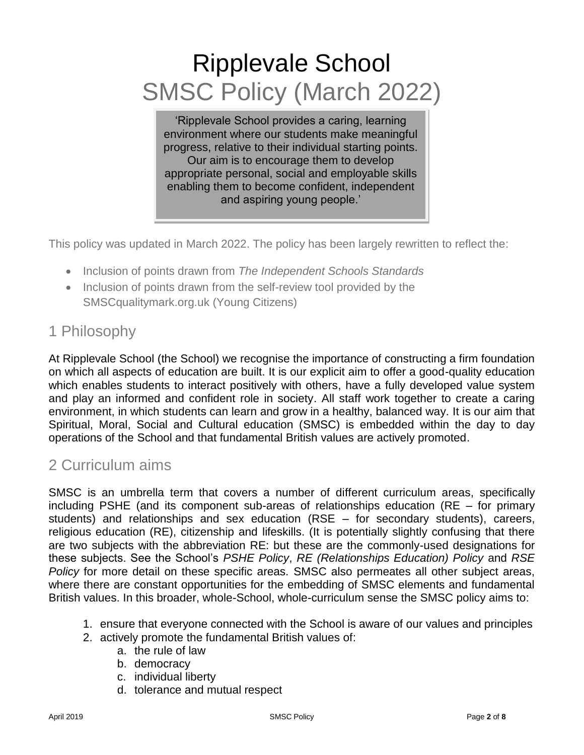# Ripplevale School SMSC Policy (March 2022)

'Ripplevale School provides a caring, learning environment where our students make meaningful progress, relative to their individual starting points. Our aim is to encourage them to develop appropriate personal, social and employable skills enabling them to become confident, independent and aspiring young people.'

This policy was updated in March 2022. The policy has been largely rewritten to reflect the:

- Inclusion of points drawn from *The Independent Schools Standards*
- Inclusion of points drawn from the self-review tool provided by the SMSCqualitymark.org.uk (Young Citizens)

# 1 Philosophy

At Ripplevale School (the School) we recognise the importance of constructing a firm foundation on which all aspects of education are built. It is our explicit aim to offer a good-quality education which enables students to interact positively with others, have a fully developed value system and play an informed and confident role in society. All staff work together to create a caring environment, in which students can learn and grow in a healthy, balanced way. It is our aim that Spiritual, Moral, Social and Cultural education (SMSC) is embedded within the day to day operations of the School and that fundamental British values are actively promoted.

# 2 Curriculum aims

SMSC is an umbrella term that covers a number of different curriculum areas, specifically including PSHE (and its component sub-areas of relationships education (RE – for primary students) and relationships and sex education (RSE – for secondary students), careers, religious education (RE), citizenship and lifeskills. (It is potentially slightly confusing that there are two subjects with the abbreviation RE: but these are the commonly-used designations for these subjects. See the School's *PSHE Policy*, *RE (Relationships Education) Policy* and *RSE Policy* for more detail on these specific areas. SMSC also permeates all other subject areas, where there are constant opportunities for the embedding of SMSC elements and fundamental British values. In this broader, whole-School, whole-curriculum sense the SMSC policy aims to:

- 1. ensure that everyone connected with the School is aware of our values and principles
- 2. actively promote the fundamental British values of:
	- a. the rule of law
	- b. democracy
	- c. individual liberty
	- d. tolerance and mutual respect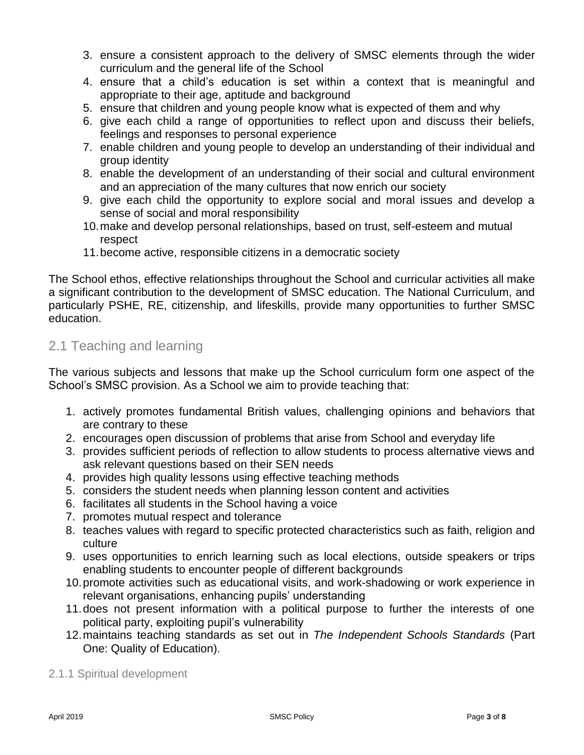- 3. ensure a consistent approach to the delivery of SMSC elements through the wider curriculum and the general life of the School
- 4. ensure that a child's education is set within a context that is meaningful and appropriate to their age, aptitude and background
- 5. ensure that children and young people know what is expected of them and why
- 6. give each child a range of opportunities to reflect upon and discuss their beliefs, feelings and responses to personal experience
- 7. enable children and young people to develop an understanding of their individual and group identity
- 8. enable the development of an understanding of their social and cultural environment and an appreciation of the many cultures that now enrich our society
- 9. give each child the opportunity to explore social and moral issues and develop a sense of social and moral responsibility
- 10.make and develop personal relationships, based on trust, self-esteem and mutual respect
- 11.become active, responsible citizens in a democratic society

The School ethos, effective relationships throughout the School and curricular activities all make a significant contribution to the development of SMSC education. The National Curriculum, and particularly PSHE, RE, citizenship, and lifeskills, provide many opportunities to further SMSC education.

### 2.1 Teaching and learning

The various subjects and lessons that make up the School curriculum form one aspect of the School's SMSC provision. As a School we aim to provide teaching that:

- 1. actively promotes fundamental British values, challenging opinions and behaviors that are contrary to these
- 2. encourages open discussion of problems that arise from School and everyday life
- 3. provides sufficient periods of reflection to allow students to process alternative views and ask relevant questions based on their SEN needs
- 4. provides high quality lessons using effective teaching methods
- 5. considers the student needs when planning lesson content and activities
- 6. facilitates all students in the School having a voice
- 7. promotes mutual respect and tolerance
- 8. teaches values with regard to specific protected characteristics such as faith, religion and culture
- 9. uses opportunities to enrich learning such as local elections, outside speakers or trips enabling students to encounter people of different backgrounds
- 10.promote activities such as educational visits, and work-shadowing or work experience in relevant organisations, enhancing pupils' understanding
- 11.does not present information with a political purpose to further the interests of one political party, exploiting pupil's vulnerability
- 12.maintains teaching standards as set out in *The Independent Schools Standards* (Part One: Quality of Education).
- 2.1.1 Spiritual development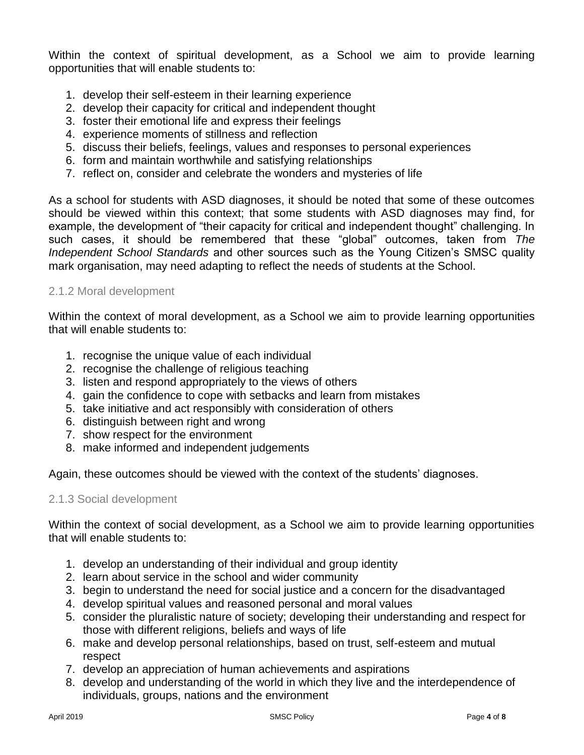Within the context of spiritual development, as a School we aim to provide learning opportunities that will enable students to:

- 1. develop their self-esteem in their learning experience
- 2. develop their capacity for critical and independent thought
- 3. foster their emotional life and express their feelings
- 4. experience moments of stillness and reflection
- 5. discuss their beliefs, feelings, values and responses to personal experiences
- 6. form and maintain worthwhile and satisfying relationships
- 7. reflect on, consider and celebrate the wonders and mysteries of life

As a school for students with ASD diagnoses, it should be noted that some of these outcomes should be viewed within this context; that some students with ASD diagnoses may find, for example, the development of "their capacity for critical and independent thought" challenging. In such cases, it should be remembered that these "global" outcomes, taken from *The Independent School Standards* and other sources such as the Young Citizen's SMSC quality mark organisation, may need adapting to reflect the needs of students at the School.

#### 2.1.2 Moral development

Within the context of moral development, as a School we aim to provide learning opportunities that will enable students to:

- 1. recognise the unique value of each individual
- 2. recognise the challenge of religious teaching
- 3. listen and respond appropriately to the views of others
- 4. gain the confidence to cope with setbacks and learn from mistakes
- 5. take initiative and act responsibly with consideration of others
- 6. distinguish between right and wrong
- 7. show respect for the environment
- 8. make informed and independent judgements

Again, these outcomes should be viewed with the context of the students' diagnoses.

#### 2.1.3 Social development

Within the context of social development, as a School we aim to provide learning opportunities that will enable students to:

- 1. develop an understanding of their individual and group identity
- 2. learn about service in the school and wider community
- 3. begin to understand the need for social justice and a concern for the disadvantaged
- 4. develop spiritual values and reasoned personal and moral values
- 5. consider the pluralistic nature of society; developing their understanding and respect for those with different religions, beliefs and ways of life
- 6. make and develop personal relationships, based on trust, self-esteem and mutual respect
- 7. develop an appreciation of human achievements and aspirations
- 8. develop and understanding of the world in which they live and the interdependence of individuals, groups, nations and the environment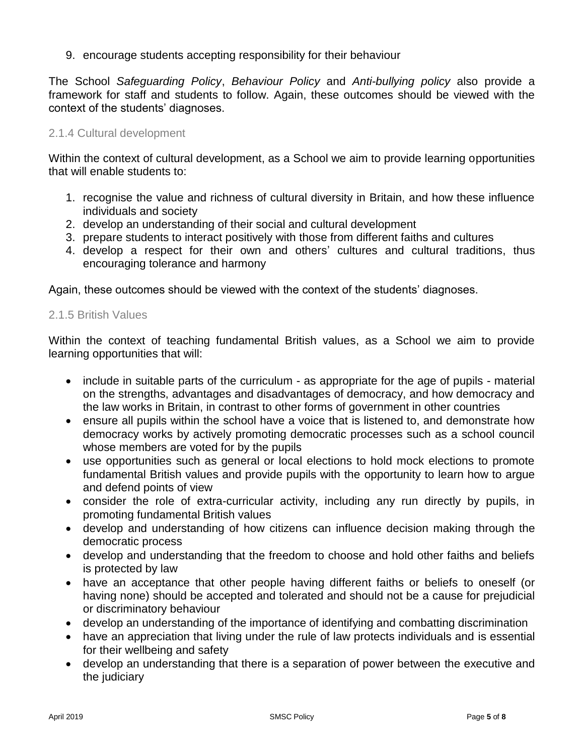9. encourage students accepting responsibility for their behaviour

The School *Safeguarding Policy*, *Behaviour Policy* and *Anti-bullying policy* also provide a framework for staff and students to follow. Again, these outcomes should be viewed with the context of the students' diagnoses.

#### 2.1.4 Cultural development

Within the context of cultural development, as a School we aim to provide learning opportunities that will enable students to:

- 1. recognise the value and richness of cultural diversity in Britain, and how these influence individuals and society
- 2. develop an understanding of their social and cultural development
- 3. prepare students to interact positively with those from different faiths and cultures
- 4. develop a respect for their own and others' cultures and cultural traditions, thus encouraging tolerance and harmony

Again, these outcomes should be viewed with the context of the students' diagnoses.

#### 2.1.5 British Values

Within the context of teaching fundamental British values, as a School we aim to provide learning opportunities that will:

- include in suitable parts of the curriculum as appropriate for the age of pupils material on the strengths, advantages and disadvantages of democracy, and how democracy and the law works in Britain, in contrast to other forms of government in other countries
- ensure all pupils within the school have a voice that is listened to, and demonstrate how democracy works by actively promoting democratic processes such as a school council whose members are voted for by the pupils
- use opportunities such as general or local elections to hold mock elections to promote fundamental British values and provide pupils with the opportunity to learn how to argue and defend points of view
- consider the role of extra-curricular activity, including any run directly by pupils, in promoting fundamental British values
- develop and understanding of how citizens can influence decision making through the democratic process
- develop and understanding that the freedom to choose and hold other faiths and beliefs is protected by law
- have an acceptance that other people having different faiths or beliefs to oneself (or having none) should be accepted and tolerated and should not be a cause for prejudicial or discriminatory behaviour
- develop an understanding of the importance of identifying and combatting discrimination
- have an appreciation that living under the rule of law protects individuals and is essential for their wellbeing and safety
- develop an understanding that there is a separation of power between the executive and the judiciary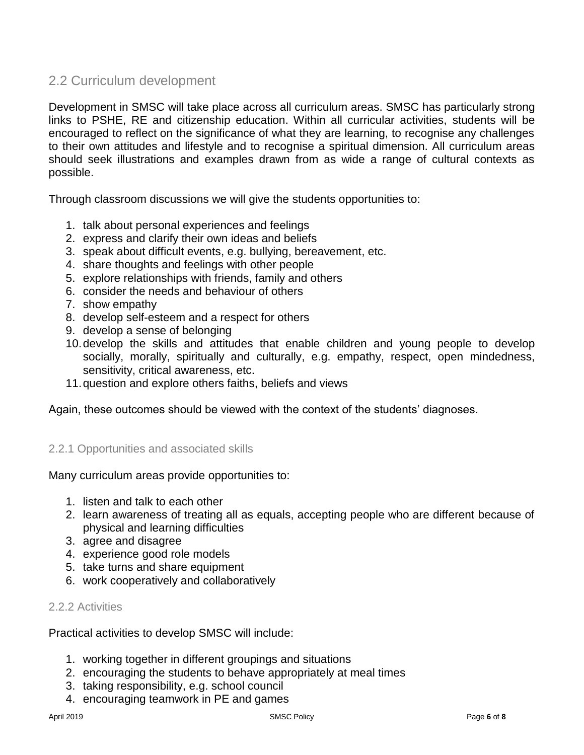# 2.2 Curriculum development

Development in SMSC will take place across all curriculum areas. SMSC has particularly strong links to PSHE, RE and citizenship education. Within all curricular activities, students will be encouraged to reflect on the significance of what they are learning, to recognise any challenges to their own attitudes and lifestyle and to recognise a spiritual dimension. All curriculum areas should seek illustrations and examples drawn from as wide a range of cultural contexts as possible.

Through classroom discussions we will give the students opportunities to:

- 1. talk about personal experiences and feelings
- 2. express and clarify their own ideas and beliefs
- 3. speak about difficult events, e.g. bullying, bereavement, etc.
- 4. share thoughts and feelings with other people
- 5. explore relationships with friends, family and others
- 6. consider the needs and behaviour of others
- 7. show empathy
- 8. develop self-esteem and a respect for others
- 9. develop a sense of belonging
- 10.develop the skills and attitudes that enable children and young people to develop socially, morally, spiritually and culturally, e.g. empathy, respect, open mindedness, sensitivity, critical awareness, etc.
- 11.question and explore others faiths, beliefs and views

Again, these outcomes should be viewed with the context of the students' diagnoses.

#### 2.2.1 Opportunities and associated skills

Many curriculum areas provide opportunities to:

- 1. listen and talk to each other
- 2. learn awareness of treating all as equals, accepting people who are different because of physical and learning difficulties
- 3. agree and disagree
- 4. experience good role models
- 5. take turns and share equipment
- 6. work cooperatively and collaboratively

#### 2.2.2 Activities

Practical activities to develop SMSC will include:

- 1. working together in different groupings and situations
- 2. encouraging the students to behave appropriately at meal times
- 3. taking responsibility, e.g. school council
- 4. encouraging teamwork in PE and games